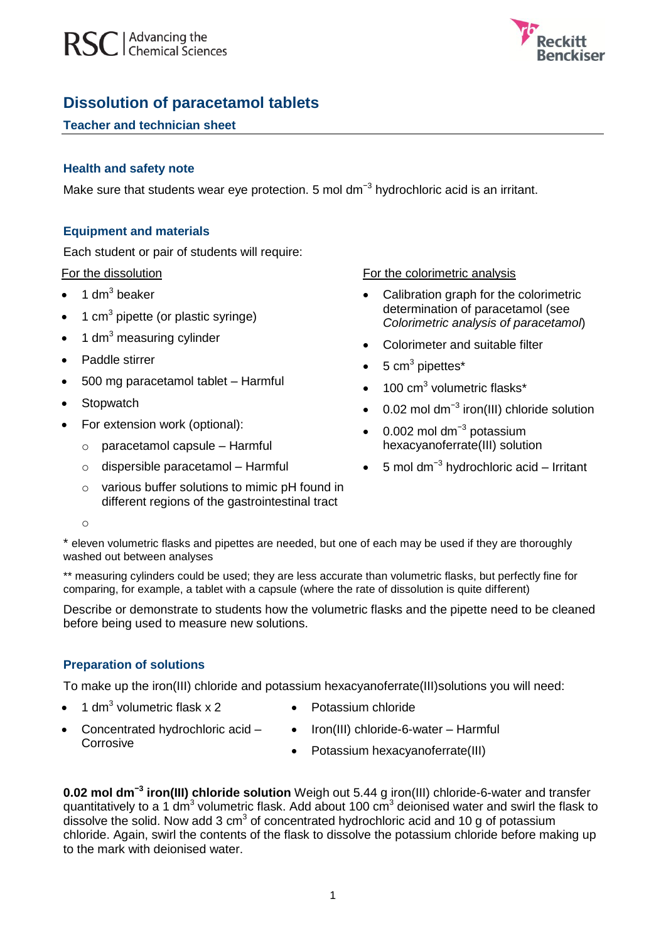



# **Dissolution of paracetamol tablets**

## **Teacher and technician sheet**

#### **Health and safety note**

Make sure that students wear eye protection. 5 mol dm<sup>-3</sup> hydrochloric acid is an irritant.

## **Equipment and materials**

Each student or pair of students will require:

For the dissolution

- $\bullet$  1 dm<sup>3</sup> beaker
- $\bullet$  1 cm<sup>3</sup> pipette (or plastic syringe)
- 1 dm $3$  measuring cylinder
- Paddle stirrer
- 500 mg paracetamol tablet Harmful
- Stopwatch
- For extension work (optional):
	- o paracetamol capsule Harmful
	- o dispersible paracetamol Harmful
	- o various buffer solutions to mimic pH found in different regions of the gastrointestinal tract

For the colorimetric analysis

- Calibration graph for the colorimetric determination of paracetamol (see *Colorimetric analysis of paracetamol*)
- Colorimeter and suitable filter
- $\bullet$  5 cm<sup>3</sup> pipettes<sup>\*</sup>
- $\bullet$  100 cm<sup>3</sup> volumetric flasks\*
- 0.02 mol dm<sup>-3</sup> iron(III) chloride solution
- 0.002 mol dm<sup>-3</sup> potassium hexacyanoferrate(III) solution
- 5 mol dm−3 hydrochloric acid Irritant

o

\* eleven volumetric flasks and pipettes are needed, but one of each may be used if they are thoroughly washed out between analyses

\*\* measuring cylinders could be used; they are less accurate than volumetric flasks, but perfectly fine for comparing, for example, a tablet with a capsule (where the rate of dissolution is quite different)

Describe or demonstrate to students how the volumetric flasks and the pipette need to be cleaned before being used to measure new solutions.

# **Preparation of solutions**

To make up the iron(III) chloride and potassium hexacyanoferrate(III)solutions you will need:

- $\bullet$  1 dm<sup>3</sup> volumetric flask x 2
- Potassium chloride
- Iron(III) chloride-6-water Harmful
- Concentrated hydrochloric acid Corrosive
- Potassium hexacyanoferrate(III)

**0.02 mol dm−3 iron(III) chloride solution** Weigh out 5.44 g iron(III) chloride-6-water and transfer quantitatively to a 1 dm<sup>3</sup> volumetric flask. Add about 100 cm<sup>3</sup> deionised water and swirl the flask to dissolve the solid. Now add 3  $cm<sup>3</sup>$  of concentrated hydrochloric acid and 10 g of potassium chloride. Again, swirl the contents of the flask to dissolve the potassium chloride before making up to the mark with deionised water.